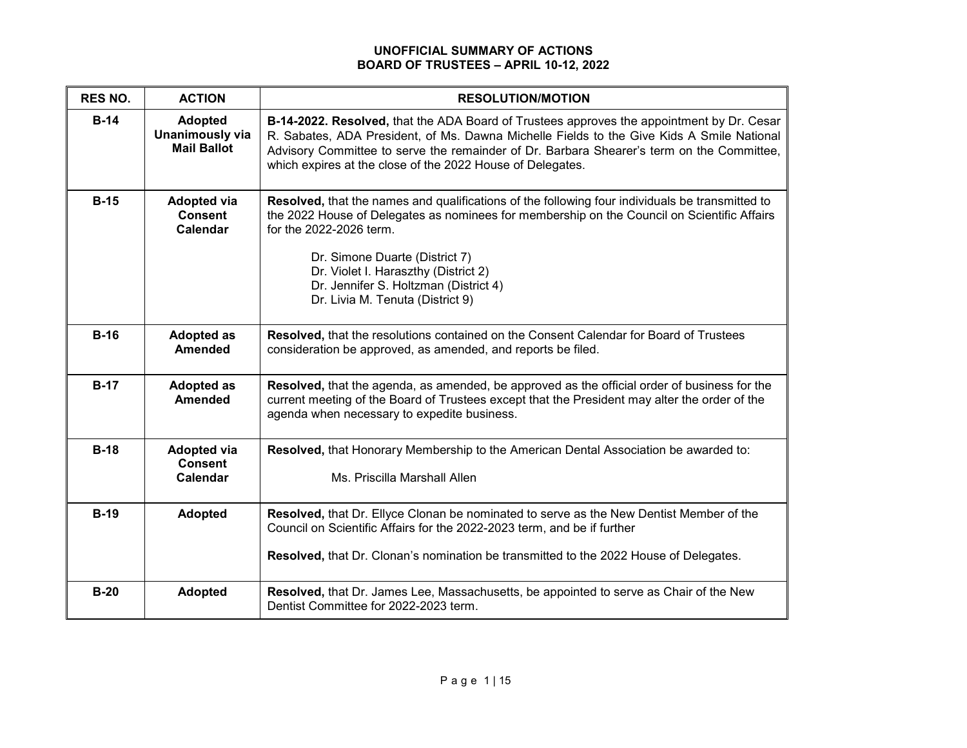## **UNOFFICIAL SUMMARY OF ACTIONS BOARD OF TRUSTEES – APRIL 10-12, 2022**

| <b>RES NO.</b> | <b>ACTION</b>                                                  | <b>RESOLUTION/MOTION</b>                                                                                                                                                                                                                                                                                                                                                         |
|----------------|----------------------------------------------------------------|----------------------------------------------------------------------------------------------------------------------------------------------------------------------------------------------------------------------------------------------------------------------------------------------------------------------------------------------------------------------------------|
| $B-14$         | <b>Adopted</b><br><b>Unanimously via</b><br><b>Mail Ballot</b> | B-14-2022. Resolved, that the ADA Board of Trustees approves the appointment by Dr. Cesar<br>R. Sabates, ADA President, of Ms. Dawna Michelle Fields to the Give Kids A Smile National<br>Advisory Committee to serve the remainder of Dr. Barbara Shearer's term on the Committee,<br>which expires at the close of the 2022 House of Delegates.                                |
| $B-15$         | <b>Adopted via</b><br><b>Consent</b><br>Calendar               | Resolved, that the names and qualifications of the following four individuals be transmitted to<br>the 2022 House of Delegates as nominees for membership on the Council on Scientific Affairs<br>for the 2022-2026 term.<br>Dr. Simone Duarte (District 7)<br>Dr. Violet I. Haraszthy (District 2)<br>Dr. Jennifer S. Holtzman (District 4)<br>Dr. Livia M. Tenuta (District 9) |
| $B-16$         | <b>Adopted as</b><br><b>Amended</b>                            | Resolved, that the resolutions contained on the Consent Calendar for Board of Trustees<br>consideration be approved, as amended, and reports be filed.                                                                                                                                                                                                                           |
| $B-17$         | <b>Adopted as</b><br><b>Amended</b>                            | Resolved, that the agenda, as amended, be approved as the official order of business for the<br>current meeting of the Board of Trustees except that the President may alter the order of the<br>agenda when necessary to expedite business.                                                                                                                                     |
| $B-18$         | <b>Adopted via</b><br><b>Consent</b><br><b>Calendar</b>        | Resolved, that Honorary Membership to the American Dental Association be awarded to:<br>Ms. Priscilla Marshall Allen                                                                                                                                                                                                                                                             |
| $B-19$         | <b>Adopted</b>                                                 | Resolved, that Dr. Ellyce Clonan be nominated to serve as the New Dentist Member of the<br>Council on Scientific Affairs for the 2022-2023 term, and be if further<br>Resolved, that Dr. Clonan's nomination be transmitted to the 2022 House of Delegates.                                                                                                                      |
| $B-20$         | <b>Adopted</b>                                                 | Resolved, that Dr. James Lee, Massachusetts, be appointed to serve as Chair of the New<br>Dentist Committee for 2022-2023 term.                                                                                                                                                                                                                                                  |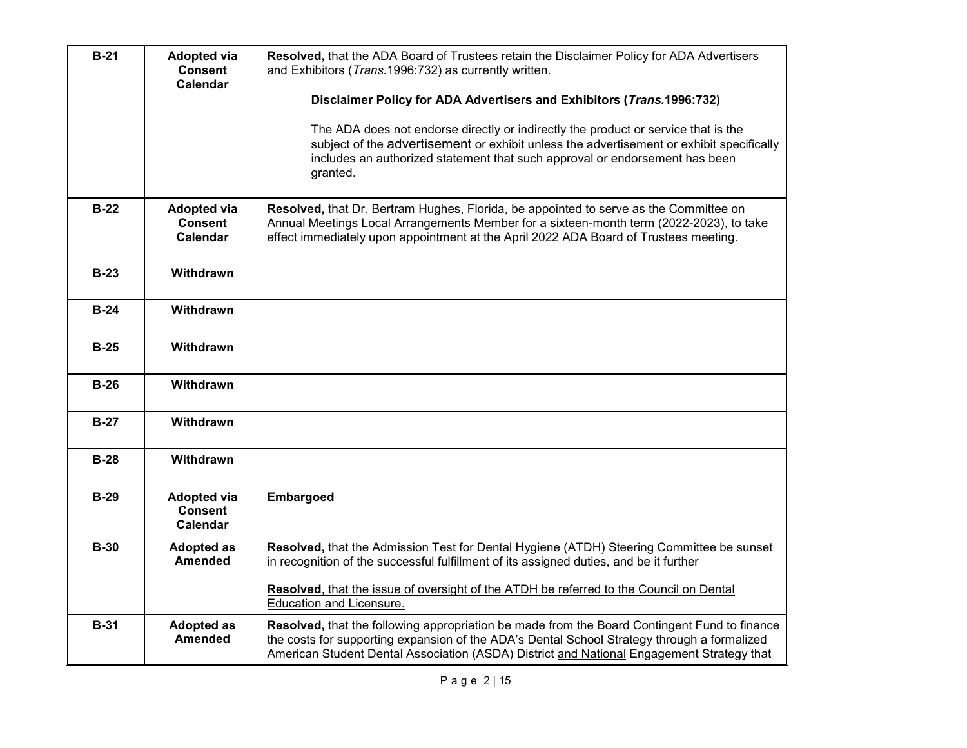| $B-21$      | <b>Adopted via</b><br><b>Consent</b><br><b>Calendar</b> | Resolved, that the ADA Board of Trustees retain the Disclaimer Policy for ADA Advertisers<br>and Exhibitors (Trans. 1996: 732) as currently written.<br>Disclaimer Policy for ADA Advertisers and Exhibitors (Trans.1996:732)<br>The ADA does not endorse directly or indirectly the product or service that is the<br>subject of the advertisement or exhibit unless the advertisement or exhibit specifically<br>includes an authorized statement that such approval or endorsement has been<br>granted. |
|-------------|---------------------------------------------------------|------------------------------------------------------------------------------------------------------------------------------------------------------------------------------------------------------------------------------------------------------------------------------------------------------------------------------------------------------------------------------------------------------------------------------------------------------------------------------------------------------------|
| $B-22$      | <b>Adopted via</b><br><b>Consent</b><br>Calendar        | Resolved, that Dr. Bertram Hughes, Florida, be appointed to serve as the Committee on<br>Annual Meetings Local Arrangements Member for a sixteen-month term (2022-2023), to take<br>effect immediately upon appointment at the April 2022 ADA Board of Trustees meeting.                                                                                                                                                                                                                                   |
| $B-23$      | Withdrawn                                               |                                                                                                                                                                                                                                                                                                                                                                                                                                                                                                            |
| $B-24$      | <b>Withdrawn</b>                                        |                                                                                                                                                                                                                                                                                                                                                                                                                                                                                                            |
| $B-25$      | Withdrawn                                               |                                                                                                                                                                                                                                                                                                                                                                                                                                                                                                            |
| $B-26$      | <b>Withdrawn</b>                                        |                                                                                                                                                                                                                                                                                                                                                                                                                                                                                                            |
| $B-27$      | <b>Withdrawn</b>                                        |                                                                                                                                                                                                                                                                                                                                                                                                                                                                                                            |
| $B-28$      | Withdrawn                                               |                                                                                                                                                                                                                                                                                                                                                                                                                                                                                                            |
| $B-29$      | <b>Adopted via</b><br><b>Consent</b><br><b>Calendar</b> | <b>Embargoed</b>                                                                                                                                                                                                                                                                                                                                                                                                                                                                                           |
| <b>B-30</b> | <b>Adopted as</b><br><b>Amended</b>                     | Resolved, that the Admission Test for Dental Hygiene (ATDH) Steering Committee be sunset<br>in recognition of the successful fulfillment of its assigned duties, and be it further                                                                                                                                                                                                                                                                                                                         |
|             |                                                         | Resolved, that the issue of oversight of the ATDH be referred to the Council on Dental<br>Education and Licensure.                                                                                                                                                                                                                                                                                                                                                                                         |
| $B-31$      | <b>Adopted as</b><br><b>Amended</b>                     | Resolved, that the following appropriation be made from the Board Contingent Fund to finance<br>the costs for supporting expansion of the ADA's Dental School Strategy through a formalized<br>American Student Dental Association (ASDA) District and National Engagement Strategy that                                                                                                                                                                                                                   |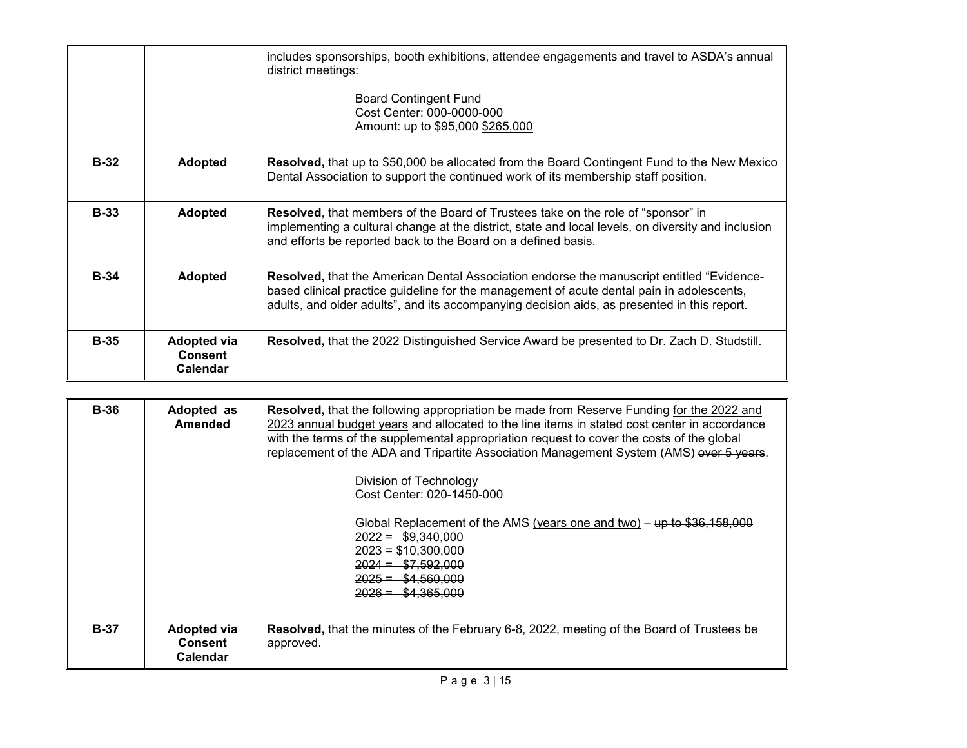|        |                                                  | includes sponsorships, booth exhibitions, attendee engagements and travel to ASDA's annual<br>district meetings:<br><b>Board Contingent Fund</b><br>Cost Center: 000-0000-000<br>Amount: up to \$95,000 \$265,000                                                                            |
|--------|--------------------------------------------------|----------------------------------------------------------------------------------------------------------------------------------------------------------------------------------------------------------------------------------------------------------------------------------------------|
| $B-32$ | <b>Adopted</b>                                   | Resolved, that up to \$50,000 be allocated from the Board Contingent Fund to the New Mexico<br>Dental Association to support the continued work of its membership staff position.                                                                                                            |
| $B-33$ | <b>Adopted</b>                                   | <b>Resolved, that members of the Board of Trustees take on the role of "sponsor" in</b><br>implementing a cultural change at the district, state and local levels, on diversity and inclusion<br>and efforts be reported back to the Board on a defined basis.                               |
| $B-34$ | <b>Adopted</b>                                   | <b>Resolved, that the American Dental Association endorse the manuscript entitled "Evidence-</b><br>based clinical practice guideline for the management of acute dental pain in adolescents,<br>adults, and older adults", and its accompanying decision aids, as presented in this report. |
| $B-35$ | <b>Adopted via</b><br><b>Consent</b><br>Calendar | Resolved, that the 2022 Distinguished Service Award be presented to Dr. Zach D. Studstill.                                                                                                                                                                                                   |

| <b>B-36</b> | Adopted as<br><b>Amended</b>                            | <b>Resolved, that the following appropriation be made from Reserve Funding for the 2022 and</b><br>2023 annual budget years and allocated to the line items in stated cost center in accordance<br>with the terms of the supplemental appropriation request to cover the costs of the global<br>replacement of the ADA and Tripartite Association Management System (AMS) over 5 years.<br>Division of Technology<br>Cost Center: 020-1450-000<br>Global Replacement of the AMS (years one and two) – $\mu$ to \$36,158,000<br>$2022 = $9,340,000$<br>$2023 = $10,300,000$<br>$2024 = $7.592.000$<br>$2025 = $4.560.000$<br>$2026 = $4.365.000$ |
|-------------|---------------------------------------------------------|-------------------------------------------------------------------------------------------------------------------------------------------------------------------------------------------------------------------------------------------------------------------------------------------------------------------------------------------------------------------------------------------------------------------------------------------------------------------------------------------------------------------------------------------------------------------------------------------------------------------------------------------------|
| $B-37$      | <b>Adopted via</b><br><b>Consent</b><br><b>Calendar</b> | Resolved, that the minutes of the February 6-8, 2022, meeting of the Board of Trustees be<br>approved.                                                                                                                                                                                                                                                                                                                                                                                                                                                                                                                                          |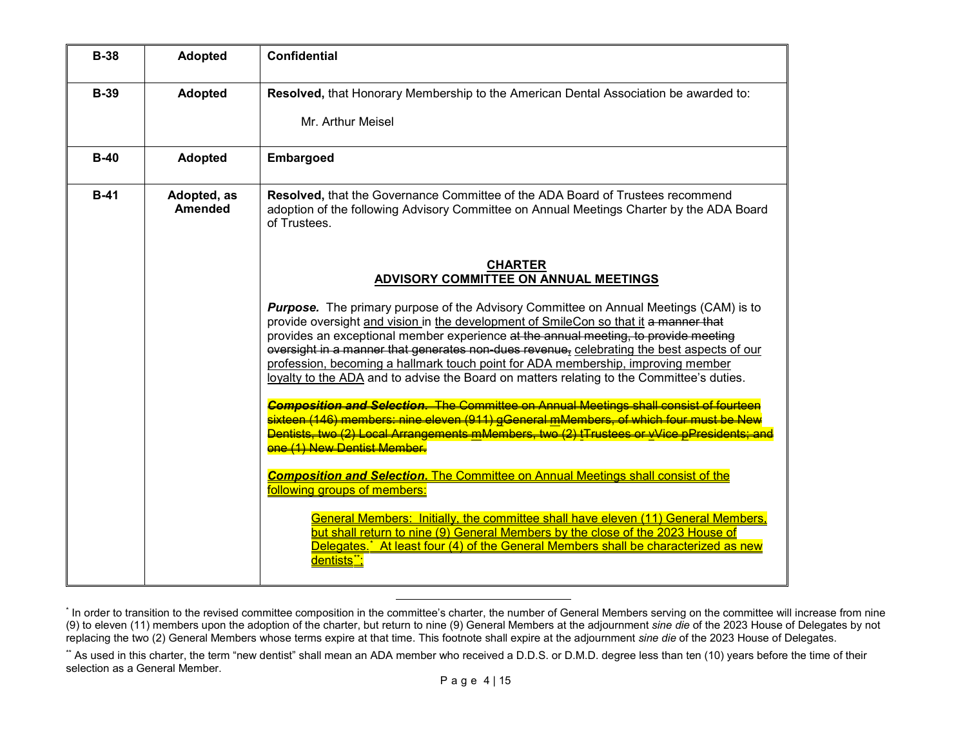<span id="page-3-1"></span><span id="page-3-0"></span>

| <b>B-38</b> | <b>Adopted</b>                | <b>Confidential</b>                                                                                                                                                                                                                                                                                                                                                                                                                                                                                                                                |
|-------------|-------------------------------|----------------------------------------------------------------------------------------------------------------------------------------------------------------------------------------------------------------------------------------------------------------------------------------------------------------------------------------------------------------------------------------------------------------------------------------------------------------------------------------------------------------------------------------------------|
| <b>B-39</b> | <b>Adopted</b>                | Resolved, that Honorary Membership to the American Dental Association be awarded to:<br>Mr. Arthur Meisel                                                                                                                                                                                                                                                                                                                                                                                                                                          |
| $B-40$      | <b>Adopted</b>                | <b>Embargoed</b>                                                                                                                                                                                                                                                                                                                                                                                                                                                                                                                                   |
| $B-41$      | Adopted, as<br><b>Amended</b> | Resolved, that the Governance Committee of the ADA Board of Trustees recommend<br>adoption of the following Advisory Committee on Annual Meetings Charter by the ADA Board<br>of Trustees.                                                                                                                                                                                                                                                                                                                                                         |
|             |                               | <b>CHARTER</b><br>ADVISORY COMMITTEE ON ANNUAL MEETINGS                                                                                                                                                                                                                                                                                                                                                                                                                                                                                            |
|             |                               | Purpose. The primary purpose of the Advisory Committee on Annual Meetings (CAM) is to<br>provide oversight and vision in the development of SmileCon so that it a manner that<br>provides an exceptional member experience at the annual meeting, to provide meeting<br>oversight in a manner that generates non-dues revenue-celebrating the best aspects of our<br>profession, becoming a hallmark touch point for ADA membership, improving member<br>loyalty to the ADA and to advise the Board on matters relating to the Committee's duties. |
|             |                               | <b>Composition and Selection.</b> The Committee on Annual Meetings shall consist of fourteen<br><mark>sixteen (146) members: nine eleven (911) gGeneral <u>m</u>Members, of which four must be New</mark><br>Dentists, two (2) Local Arrangements mMembers, two (2) tTrustees or vVice pPresidents; and<br>one (1) New Dentist Member                                                                                                                                                                                                              |
|             |                               | <b>Composition and Selection.</b> The Committee on Annual Meetings shall consist of the<br>following groups of members:                                                                                                                                                                                                                                                                                                                                                                                                                            |
|             |                               | General Members: Initially, the committee shall have eleven (11) General Members,<br>but shall return to nine (9) General Members by the close of the 2023 House of<br>Delegates,* At least four (4) of the General Members shall be characterized as new<br>dentists**;                                                                                                                                                                                                                                                                           |

l

<sup>\*</sup> In order to transition to the revised committee composition in the committee's charter, the number of General Members serving on the committee will increase from nine (9) to eleven (11) members upon the adoption of the charter, but return to nine (9) General Members at the adjournment *sine die* of the 2023 House of Delegates by not replacing the two (2) General Members whose terms expire at that time. This footnote shall expire at the adjournment *sine die* of the 2023 House of Delegates.

<sup>\*\*</sup> As used in this charter, the term "new dentist" shall mean an ADA member who received a D.D.S. or D.M.D. degree less than ten (10) years before the time of their selection as a General Member.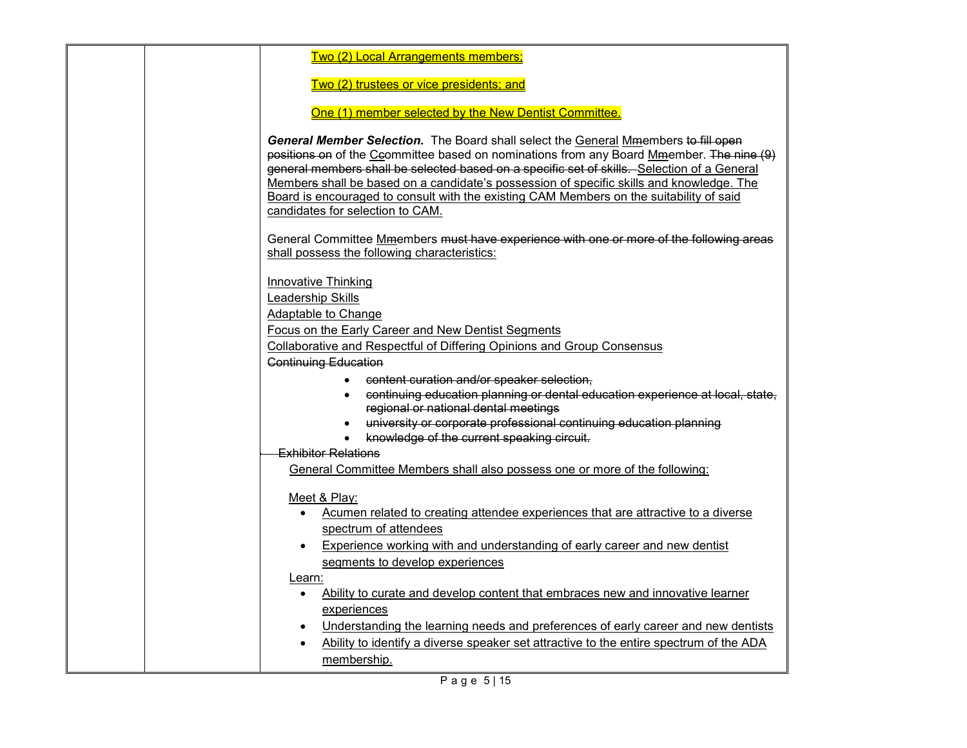| Two (2) Local Arrangements members;                                                                                                                                                                                                                                                                                                                                                                                                                                                                      |
|----------------------------------------------------------------------------------------------------------------------------------------------------------------------------------------------------------------------------------------------------------------------------------------------------------------------------------------------------------------------------------------------------------------------------------------------------------------------------------------------------------|
|                                                                                                                                                                                                                                                                                                                                                                                                                                                                                                          |
| Two (2) trustees or vice presidents; and                                                                                                                                                                                                                                                                                                                                                                                                                                                                 |
| One (1) member selected by the New Dentist Committee.                                                                                                                                                                                                                                                                                                                                                                                                                                                    |
| General Member Selection. The Board shall select the General Mmembers to fill open<br>positions on of the Ceommittee based on nominations from any Board Mmember. The nine (9)<br>general members shall be selected based on a specific set of skills. Selection of a General<br>Members shall be based on a candidate's possession of specific skills and knowledge. The<br>Board is encouraged to consult with the existing CAM Members on the suitability of said<br>candidates for selection to CAM. |
| General Committee Mmembers must have experience with one or more of the following areas<br>shall possess the following characteristics:                                                                                                                                                                                                                                                                                                                                                                  |
| <b>Innovative Thinking</b><br>Leadership Skills<br>Adaptable to Change<br>Focus on the Early Career and New Dentist Segments<br>Collaborative and Respectful of Differing Opinions and Group Consensus                                                                                                                                                                                                                                                                                                   |
| <b>Continuing Education</b><br>content curation and/or speaker selection,<br>$\bullet$<br>continuing education planning or dental education experience at local, state,<br>regional or national dental meetings<br>university or corporate professional continuing education planning<br>knowledge of the current speaking circuit.<br><b>Exhibitor Relations</b>                                                                                                                                        |
| General Committee Members shall also possess one or more of the following:                                                                                                                                                                                                                                                                                                                                                                                                                               |
| Meet & Play:<br>Acumen related to creating attendee experiences that are attractive to a diverse<br>spectrum of attendees<br>Experience working with and understanding of early career and new dentist<br>segments to develop experiences                                                                                                                                                                                                                                                                |
| Learn:<br>Ability to curate and develop content that embraces new and innovative learner<br>$\bullet$<br>experiences<br>Understanding the learning needs and preferences of early career and new dentists<br>Ability to identify a diverse speaker set attractive to the entire spectrum of the ADA<br>membership.                                                                                                                                                                                       |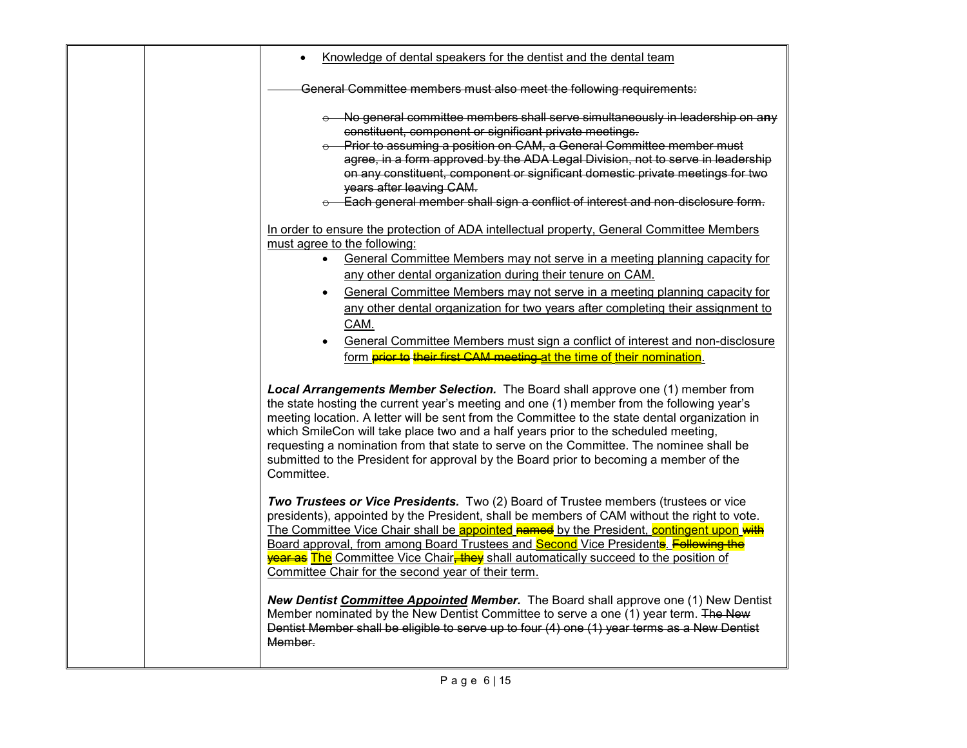|  | Knowledge of dental speakers for the dentist and the dental team                                                                                                                                                                                                                                                                                                                                                                                                                                                                                                                                                               |
|--|--------------------------------------------------------------------------------------------------------------------------------------------------------------------------------------------------------------------------------------------------------------------------------------------------------------------------------------------------------------------------------------------------------------------------------------------------------------------------------------------------------------------------------------------------------------------------------------------------------------------------------|
|  | General Committee members must also meet the following requirements:                                                                                                                                                                                                                                                                                                                                                                                                                                                                                                                                                           |
|  | ⊖ No general committee members shall serve simultaneously in leadership on any<br>constituent, component or significant private meetings.<br>e Prior to assuming a position on CAM, a General Committee member must<br>agree, in a form approved by the ADA Legal Division, not to serve in leadership<br>on any constituent, component or significant domestic private meetings for two<br>years after leaving CAM.<br>e Each general member shall sign a conflict of interest and non-disclosure form.                                                                                                                       |
|  | In order to ensure the protection of ADA intellectual property, General Committee Members<br>must agree to the following:<br>General Committee Members may not serve in a meeting planning capacity for<br>$\bullet$<br>any other dental organization during their tenure on CAM.<br>General Committee Members may not serve in a meeting planning capacity for<br>any other dental organization for two years after completing their assignment to<br>CAM.<br>General Committee Members must sign a conflict of interest and non-disclosure<br>form <b>prior to their first CAM meeting at the time of their nomination</b> . |
|  | Local Arrangements Member Selection. The Board shall approve one (1) member from<br>the state hosting the current year's meeting and one (1) member from the following year's<br>meeting location. A letter will be sent from the Committee to the state dental organization in<br>which SmileCon will take place two and a half years prior to the scheduled meeting,<br>requesting a nomination from that state to serve on the Committee. The nominee shall be<br>submitted to the President for approval by the Board prior to becoming a member of the<br>Committee.                                                      |
|  | Two Trustees or Vice Presidents. Two (2) Board of Trustee members (trustees or vice<br>presidents), appointed by the President, shall be members of CAM without the right to vote.<br>The Committee Vice Chair shall be appointed named by the President, contingent upon with<br>Board approval, from among Board Trustees and <b>Second</b> Vice Presidents. <b>Following the</b><br><b>year as The Committee Vice Chair<del>, they</del> shall automatically succeed to the position of</b><br>Committee Chair for the second year of their term.                                                                           |
|  | <b>New Dentist Committee Appointed Member.</b> The Board shall approve one (1) New Dentist<br>Member nominated by the New Dentist Committee to serve a one (1) year term. The New<br>Dentist Member shall be eligible to serve up to four (4) one (1) year terms as a New Dentist<br>Member.                                                                                                                                                                                                                                                                                                                                   |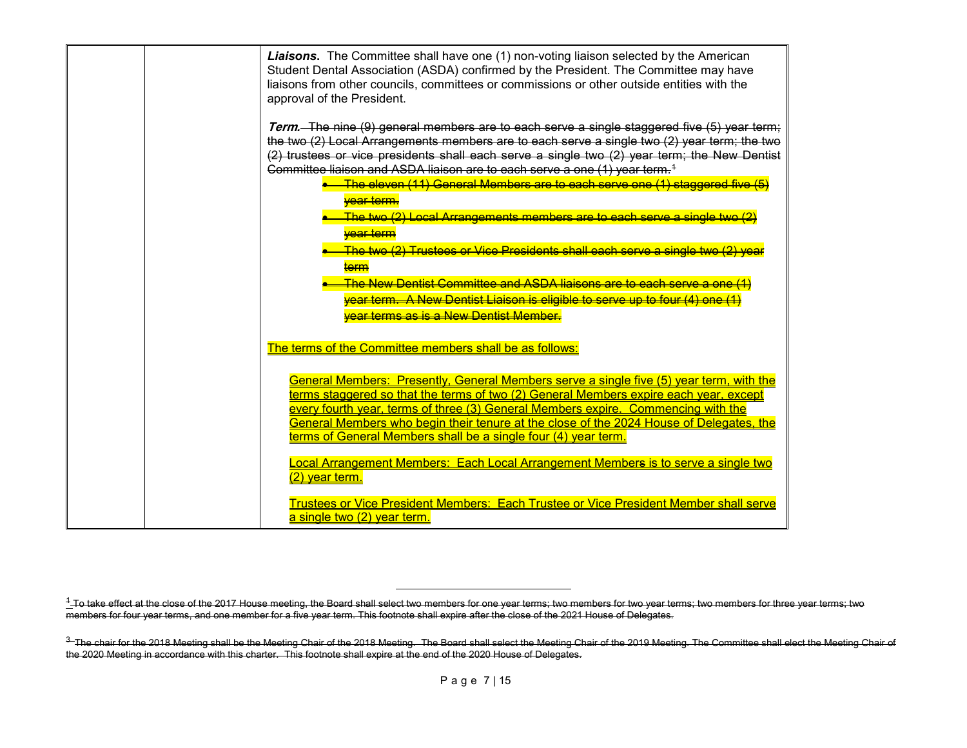<span id="page-6-0"></span>

| <b>Liaisons.</b> The Committee shall have one (1) non-voting liaison selected by the American<br>Student Dental Association (ASDA) confirmed by the President. The Committee may have<br>liaisons from other councils, committees or commissions or other outside entities with the<br>approval of the President.                                                                                                                                                                                                                                                                                                                                                                                                                                                                                    |
|------------------------------------------------------------------------------------------------------------------------------------------------------------------------------------------------------------------------------------------------------------------------------------------------------------------------------------------------------------------------------------------------------------------------------------------------------------------------------------------------------------------------------------------------------------------------------------------------------------------------------------------------------------------------------------------------------------------------------------------------------------------------------------------------------|
| Term. The nine (9) general members are to each serve a single staggered five (5) year term;<br>the two (2) Local Arrangements members are to each serve a single two (2) year term; the two<br>(2) trustees or vice presidents shall each serve a single two (2) year term; the New Dentist<br>Committee liaison and ASDA liaison are to each serve a one (1) year term. <sup>4</sup><br><mark>The eleven (11) General Members are to each serve one (1) staggered five (5)</mark><br><del>year term.</del><br><mark>The two (2) Lecal Arrangements members are to each serve a single two</mark><br><b>vear term</b><br>The two (2) Trustees or Vice Presidents shall each serve a single two (2) yea<br><del>term</del><br>The New Dentist Committee and ASDA ligisons are to each serve a one (1) |
| vear term.  A New Dentist Liaisen is eligible to serve up to four (4) one (1)<br>vear terms as is a New Dentist Member.                                                                                                                                                                                                                                                                                                                                                                                                                                                                                                                                                                                                                                                                              |
| The terms of the Committee members shall be as follows:<br>General Members: Presently, General Members serve a single five (5) year term, with the<br>terms staggered so that the terms of two (2) General Members expire each year, except<br>every fourth year, terms of three (3) General Members expire. Commencing with the<br>General Members who begin their tenure at the close of the 2024 House of Delegates, the<br>terms of General Members shall be a single four (4) year term.                                                                                                                                                                                                                                                                                                        |
| Local Arrangement Members: Each Local Arrangement Members is to serve a single two<br>(2) year term.<br>Trustees or Vice President Members: Each Trustee or Vice President Member shall serve<br>a single two (2) year term.                                                                                                                                                                                                                                                                                                                                                                                                                                                                                                                                                                         |

l

 $1$ -To take effect at the close of the 2017 House meeting, the Board shall select two members for one year terms; two members for two year terms; two members for three year terms; two members for four year terms, and one member for a five year term. This footnote shall expire after the close of the 2021 House of Delegates.

<sup>&</sup>lt;sup>3</sup>The chair for the 2018 Meeting shall be the Meeting Chair of the 2018 Meeting. The Board shall select the Meeting Chair of the 2019 Meeting. The Committee shall elect the Meeting Chair of the 2020 Meeting in accordance with this charter. This footnote shall expire at the end of the 2020 House of Delegates.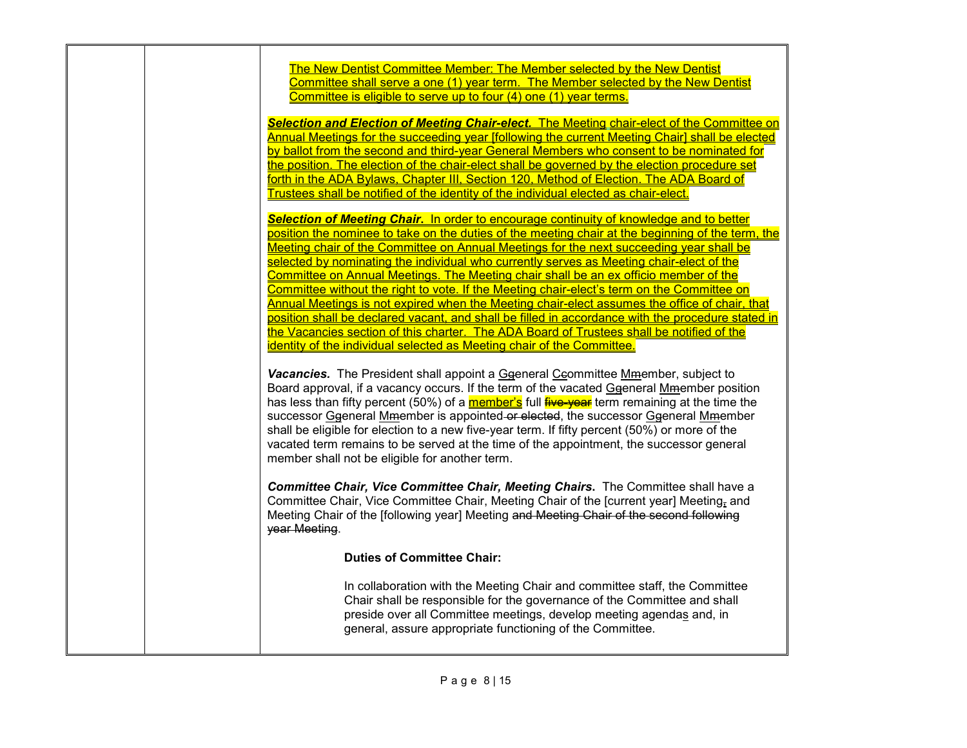| The New Dentist Committee Member: The Member selected by the New Dentist                                                                                                                                                                                                                                                                                                                                                                                                                                                                                                                                           |
|--------------------------------------------------------------------------------------------------------------------------------------------------------------------------------------------------------------------------------------------------------------------------------------------------------------------------------------------------------------------------------------------------------------------------------------------------------------------------------------------------------------------------------------------------------------------------------------------------------------------|
| Committee shall serve a one (1) year term. The Member selected by the New Dentist<br>Committee is eligible to serve up to four (4) one (1) year terms.                                                                                                                                                                                                                                                                                                                                                                                                                                                             |
|                                                                                                                                                                                                                                                                                                                                                                                                                                                                                                                                                                                                                    |
| Selection and Election of Meeting Chair-elect. The Meeting chair-elect of the Committee on                                                                                                                                                                                                                                                                                                                                                                                                                                                                                                                         |
| Annual Meetings for the succeeding year [following the current Meeting Chair] shall be elected                                                                                                                                                                                                                                                                                                                                                                                                                                                                                                                     |
| by ballot from the second and third-year General Members who consent to be nominated for                                                                                                                                                                                                                                                                                                                                                                                                                                                                                                                           |
| the position. The election of the chair-elect shall be governed by the election procedure set                                                                                                                                                                                                                                                                                                                                                                                                                                                                                                                      |
| forth in the ADA Bylaws, Chapter III, Section 120, Method of Election. The ADA Board of                                                                                                                                                                                                                                                                                                                                                                                                                                                                                                                            |
| Trustees shall be notified of the identity of the individual elected as chair-elect.                                                                                                                                                                                                                                                                                                                                                                                                                                                                                                                               |
| Selection of Meeting Chair. In order to encourage continuity of knowledge and to better                                                                                                                                                                                                                                                                                                                                                                                                                                                                                                                            |
| position the nominee to take on the duties of the meeting chair at the beginning of the term, the                                                                                                                                                                                                                                                                                                                                                                                                                                                                                                                  |
| Meeting chair of the Committee on Annual Meetings for the next succeeding year shall be                                                                                                                                                                                                                                                                                                                                                                                                                                                                                                                            |
| selected by nominating the individual who currently serves as Meeting chair-elect of the                                                                                                                                                                                                                                                                                                                                                                                                                                                                                                                           |
| Committee on Annual Meetings. The Meeting chair shall be an ex officio member of the                                                                                                                                                                                                                                                                                                                                                                                                                                                                                                                               |
| Committee without the right to vote. If the Meeting chair-elect's term on the Committee on                                                                                                                                                                                                                                                                                                                                                                                                                                                                                                                         |
| Annual Meetings is not expired when the Meeting chair-elect assumes the office of chair, that                                                                                                                                                                                                                                                                                                                                                                                                                                                                                                                      |
| position shall be declared vacant, and shall be filled in accordance with the procedure stated in                                                                                                                                                                                                                                                                                                                                                                                                                                                                                                                  |
| the Vacancies section of this charter. The ADA Board of Trustees shall be notified of the                                                                                                                                                                                                                                                                                                                                                                                                                                                                                                                          |
| identity of the individual selected as Meeting chair of the Committee.                                                                                                                                                                                                                                                                                                                                                                                                                                                                                                                                             |
| Vacancies. The President shall appoint a Ggeneral Ceommittee Mmember, subject to<br>Board approval, if a vacancy occurs. If the term of the vacated Ggeneral Mmember position<br>has less than fifty percent (50%) of a member's full five year term remaining at the time the<br>successor Ggeneral Mmember is appointed-or elected, the successor Ggeneral Mmember<br>shall be eligible for election to a new five-year term. If fifty percent (50%) or more of the<br>vacated term remains to be served at the time of the appointment, the successor general<br>member shall not be eligible for another term. |
| Committee Chair, Vice Committee Chair, Meeting Chairs. The Committee shall have a<br>Committee Chair, Vice Committee Chair, Meeting Chair of the [current year] Meeting <sub>r</sub> and<br>Meeting Chair of the [following year] Meeting and Meeting Chair of the second following<br>year Meeting.                                                                                                                                                                                                                                                                                                               |
| <b>Duties of Committee Chair:</b>                                                                                                                                                                                                                                                                                                                                                                                                                                                                                                                                                                                  |
| In collaboration with the Meeting Chair and committee staff, the Committee<br>Chair shall be responsible for the governance of the Committee and shall<br>preside over all Committee meetings, develop meeting agendas and, in<br>general, assure appropriate functioning of the Committee.                                                                                                                                                                                                                                                                                                                        |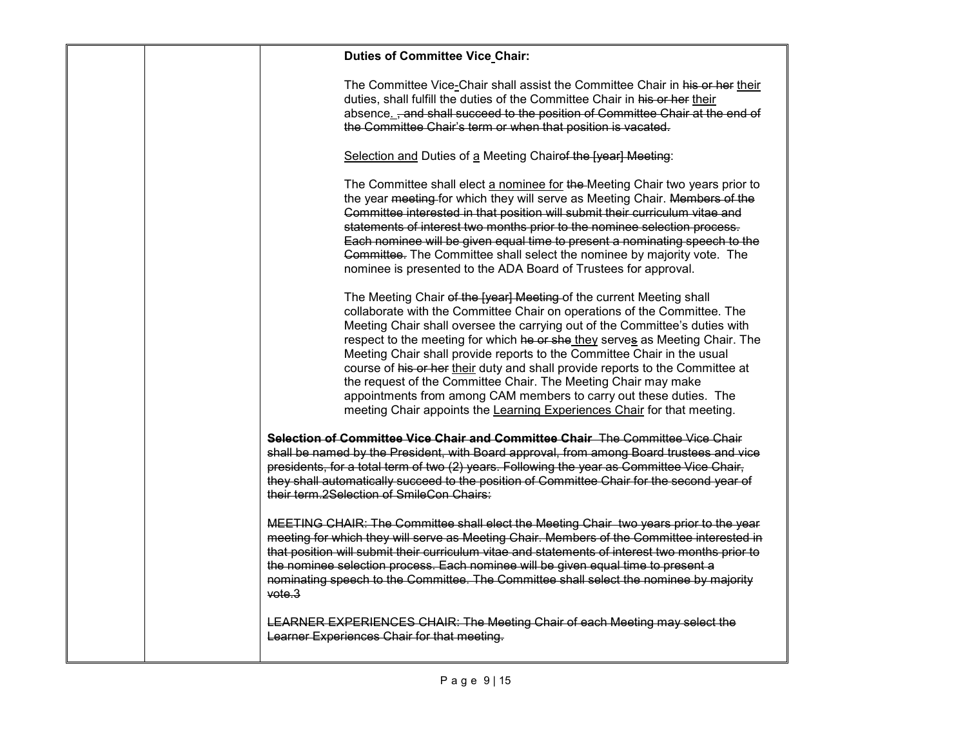| <b>Duties of Committee Vice Chair:</b>                                                                                                                                                                                                                                                                                                                                                                                                                                                                                                                                                                                                                                                         |
|------------------------------------------------------------------------------------------------------------------------------------------------------------------------------------------------------------------------------------------------------------------------------------------------------------------------------------------------------------------------------------------------------------------------------------------------------------------------------------------------------------------------------------------------------------------------------------------------------------------------------------------------------------------------------------------------|
| The Committee Vice-Chair shall assist the Committee Chair in his or her their<br>duties, shall fulfill the duties of the Committee Chair in his or her their<br>absence. -and shall succeed to the position of Committee Chair at the end of<br>the Committee Chair's term or when that position is vacated.                                                                                                                                                                                                                                                                                                                                                                                   |
| Selection and Duties of a Meeting Chairef the [year] Meeting:                                                                                                                                                                                                                                                                                                                                                                                                                                                                                                                                                                                                                                  |
| The Committee shall elect a nominee for the Meeting Chair two years prior to<br>the year meeting for which they will serve as Meeting Chair. Members of the<br>Committee interested in that position will submit their curriculum vitae and<br>statements of interest two months prior to the nominee selection process.<br>Each nominee will be given equal time to present a nominating speech to the<br>Committee. The Committee shall select the nominee by majority vote. The<br>nominee is presented to the ADA Board of Trustees for approval.                                                                                                                                          |
| The Meeting Chair of the [year] Meeting of the current Meeting shall<br>collaborate with the Committee Chair on operations of the Committee. The<br>Meeting Chair shall oversee the carrying out of the Committee's duties with<br>respect to the meeting for which he or she they serves as Meeting Chair. The<br>Meeting Chair shall provide reports to the Committee Chair in the usual<br>course of his or her their duty and shall provide reports to the Committee at<br>the request of the Committee Chair. The Meeting Chair may make<br>appointments from among CAM members to carry out these duties. The<br>meeting Chair appoints the Learning Experiences Chair for that meeting. |
| Selection of Committee Vice Chair and Committee Chair The Committee Vice Chair<br>shall be named by the President, with Board approval, from among Board trustees and vice<br>presidents, for a total term of two (2) years. Following the year as Committee Vice Chair,<br>they shall automatically succeed to the position of Committee Chair for the second year of<br>their term.2Selection of SmileCon Chairs:                                                                                                                                                                                                                                                                            |
| MEETING CHAIR: The Committee shall elect the Meeting Chair two years prior to the year<br>meeting for which they will serve as Meeting Chair. Members of the Committee interested in<br>that position will submit their curriculum vitae and statements of interest two months prior to<br>the nominee selection process. Each nominee will be given equal time to present a<br>nominating speech to the Committee. The Committee shall select the nominee by majority<br>$\text{vote.3}$                                                                                                                                                                                                      |
| LEARNER EXPERIENCES CHAIR: The Meeting Chair of each Meeting may select the<br>Learner Experiences Chair for that meeting.                                                                                                                                                                                                                                                                                                                                                                                                                                                                                                                                                                     |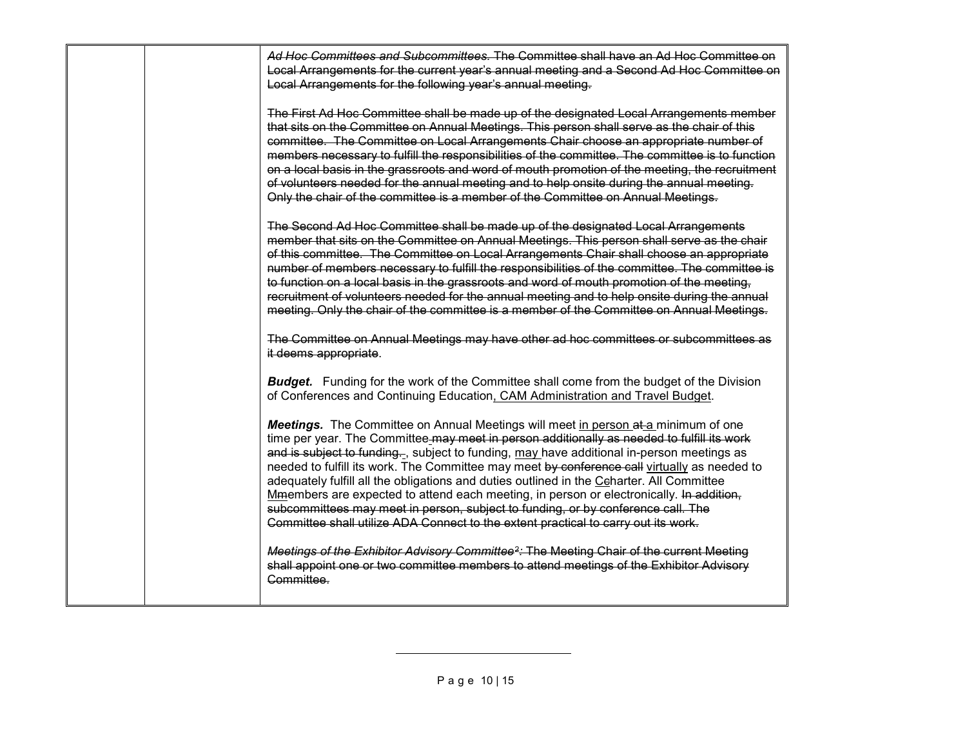<span id="page-9-0"></span>

| Ad Hoc Committees and Subcommittees. The Committee shall have an Ad Hoc Committee on<br>Local Arrangements for the current year's annual meeting and a Second Ad Hoc Committee on<br>Local Arrangements for the following year's annual meeting.                                                                                                                                                                                                                                                                                                                                                                                                                                                                                               |
|------------------------------------------------------------------------------------------------------------------------------------------------------------------------------------------------------------------------------------------------------------------------------------------------------------------------------------------------------------------------------------------------------------------------------------------------------------------------------------------------------------------------------------------------------------------------------------------------------------------------------------------------------------------------------------------------------------------------------------------------|
| The First Ad Hoc Committee shall be made up of the designated Local Arrangements member<br>that sits on the Committee on Annual Meetings. This person shall serve as the chair of this<br>committee. The Committee on Local Arrangements Chair choose an appropriate number of<br>members necessary to fulfill the responsibilities of the committee. The committee is to function<br>on a local basis in the grassroots and word of mouth promotion of the meeting, the recruitment<br>of volunteers needed for the annual meeting and to help onsite during the annual meeting.<br>Only the chair of the committee is a member of the Committee on Annual Meetings.                                                                          |
| The Second Ad Hoc Committee shall be made up of the designated Local Arrangements<br>member that sits on the Committee on Annual Meetings. This person shall serve as the chair<br>of this committee. The Committee on Local Arrangements Chair shall choose an appropriate<br>number of members necessary to fulfill the responsibilities of the committee. The committee is<br>to function on a local basis in the grassroots and word of mouth promotion of the meeting,<br>recruitment of volunteers needed for the annual meeting and to help onsite during the annual<br>meeting. Only the chair of the committee is a member of the Committee on Annual Meetings.                                                                       |
| The Committee on Annual Meetings may have other ad hoc committees or subcommittees as<br>it deems appropriate.                                                                                                                                                                                                                                                                                                                                                                                                                                                                                                                                                                                                                                 |
| <b>Budget.</b> Funding for the work of the Committee shall come from the budget of the Division<br>of Conferences and Continuing Education, CAM Administration and Travel Budget.                                                                                                                                                                                                                                                                                                                                                                                                                                                                                                                                                              |
| Meetings. The Committee on Annual Meetings will meet in person at a minimum of one<br>time per year. The Committee-may meet in person additionally as needed to fulfill its work<br>and is subject to funding, subject to funding, may have additional in-person meetings as<br>needed to fulfill its work. The Committee may meet by conference call virtually as needed to<br>adequately fulfill all the obligations and duties outlined in the Ceharter. All Committee<br>Mmembers are expected to attend each meeting, in person or electronically. In addition,<br>subcommittees may meet in person, subject to funding, or by conference call. The<br>Committee shall utilize ADA Connect to the extent practical to carry out its work. |
| Meetings of the Exhibitor Advisory Committee <sup>2</sup> : The Meeting Chair of the current Meeting<br>shall appoint one or two committee members to attend meetings of the Exhibitor Advisory<br>Committee                                                                                                                                                                                                                                                                                                                                                                                                                                                                                                                                   |

 $\overline{\phantom{a}}$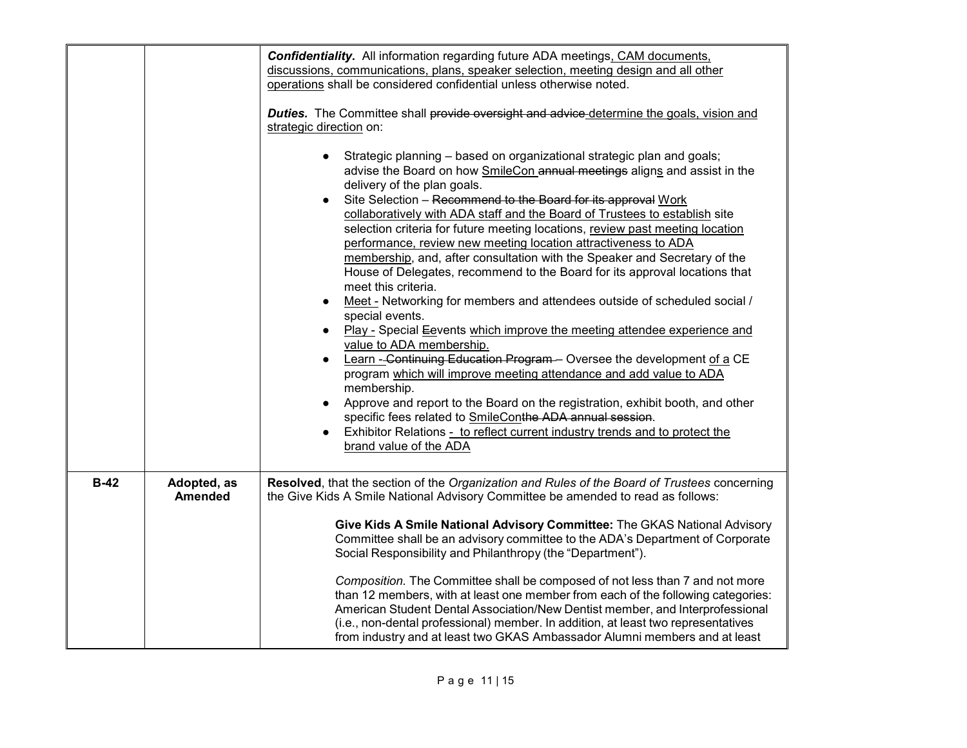|        |                               | <b>Confidentiality.</b> All information regarding future ADA meetings, CAM documents,<br>discussions, communications, plans, speaker selection, meeting design and all other<br>operations shall be considered confidential unless otherwise noted.<br><b>Duties.</b> The Committee shall provide oversight and advice-determine the goals, vision and<br>strategic direction on:<br>Strategic planning - based on organizational strategic plan and goals;<br>advise the Board on how SmileCon annual meetings aligns and assist in the<br>delivery of the plan goals.<br>Site Selection - Recommend to the Board for its approval Work<br>collaboratively with ADA staff and the Board of Trustees to establish site<br>selection criteria for future meeting locations, review past meeting location<br>performance, review new meeting location attractiveness to ADA<br>membership, and, after consultation with the Speaker and Secretary of the<br>House of Delegates, recommend to the Board for its approval locations that<br>meet this criteria.<br>Meet - Networking for members and attendees outside of scheduled social /<br>special events.<br>Play - Special Eevents which improve the meeting attendee experience and<br>$\bullet$<br>value to ADA membership.<br>Learn - Continuing Education Program - Oversee the development of a CE<br>program which will improve meeting attendance and add value to ADA<br>membership.<br>Approve and report to the Board on the registration, exhibit booth, and other<br>specific fees related to SmileConthe ADA annual session.<br>Exhibitor Relations - to reflect current industry trends and to protect the<br>brand value of the ADA |
|--------|-------------------------------|-------------------------------------------------------------------------------------------------------------------------------------------------------------------------------------------------------------------------------------------------------------------------------------------------------------------------------------------------------------------------------------------------------------------------------------------------------------------------------------------------------------------------------------------------------------------------------------------------------------------------------------------------------------------------------------------------------------------------------------------------------------------------------------------------------------------------------------------------------------------------------------------------------------------------------------------------------------------------------------------------------------------------------------------------------------------------------------------------------------------------------------------------------------------------------------------------------------------------------------------------------------------------------------------------------------------------------------------------------------------------------------------------------------------------------------------------------------------------------------------------------------------------------------------------------------------------------------------------------------------------------------------------------------------------------------------------------|
| $B-42$ | Adopted, as<br><b>Amended</b> | Resolved, that the section of the Organization and Rules of the Board of Trustees concerning<br>the Give Kids A Smile National Advisory Committee be amended to read as follows:<br>Give Kids A Smile National Advisory Committee: The GKAS National Advisory<br>Committee shall be an advisory committee to the ADA's Department of Corporate<br>Social Responsibility and Philanthropy (the "Department").<br>Composition. The Committee shall be composed of not less than 7 and not more<br>than 12 members, with at least one member from each of the following categories:<br>American Student Dental Association/New Dentist member, and Interprofessional<br>(i.e., non-dental professional) member. In addition, at least two representatives<br>from industry and at least two GKAS Ambassador Alumni members and at least                                                                                                                                                                                                                                                                                                                                                                                                                                                                                                                                                                                                                                                                                                                                                                                                                                                                  |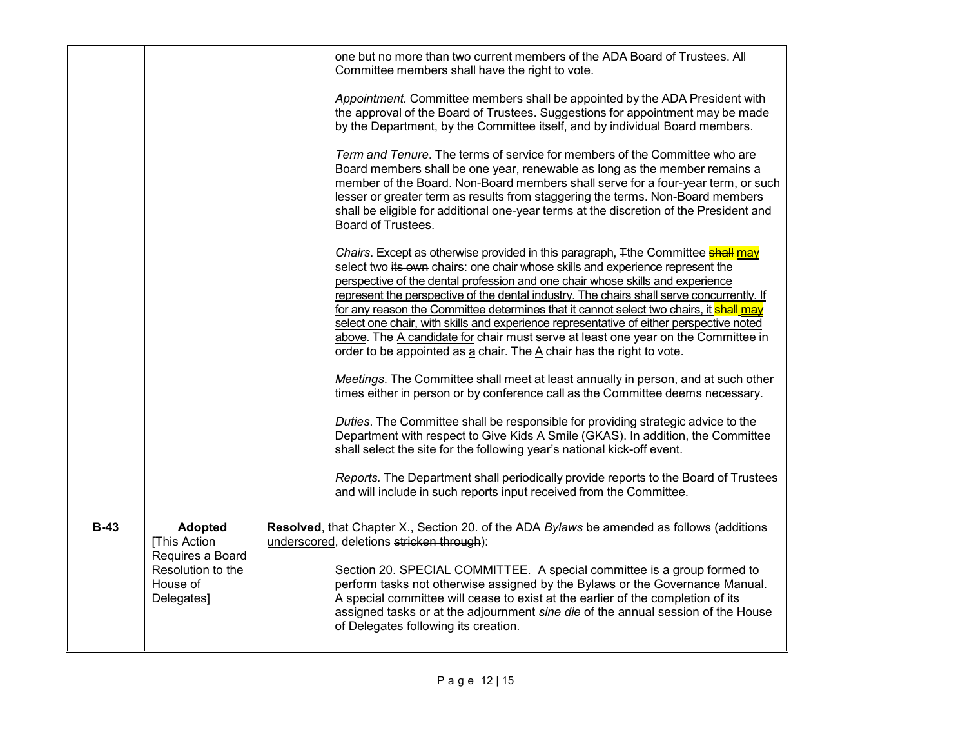|        |                                                                                                   | one but no more than two current members of the ADA Board of Trustees. All<br>Committee members shall have the right to vote.<br>Appointment. Committee members shall be appointed by the ADA President with<br>the approval of the Board of Trustees. Suggestions for appointment may be made<br>by the Department, by the Committee itself, and by individual Board members.<br>Term and Tenure. The terms of service for members of the Committee who are<br>Board members shall be one year, renewable as long as the member remains a<br>member of the Board. Non-Board members shall serve for a four-year term, or such<br>lesser or greater term as results from staggering the terms. Non-Board members<br>shall be eligible for additional one-year terms at the discretion of the President and<br>Board of Trustees.<br>Chairs. Except as otherwise provided in this paragraph, Tthe Committee <b>shall</b> may<br>select two its own chairs: one chair whose skills and experience represent the<br>perspective of the dental profession and one chair whose skills and experience<br>represent the perspective of the dental industry. The chairs shall serve concurrently. If<br>for any reason the Committee determines that it cannot select two chairs, it shall may<br>select one chair, with skills and experience representative of either perspective noted<br>above. The A candidate for chair must serve at least one year on the Committee in<br>order to be appointed as a chair. The A chair has the right to vote.<br>Meetings. The Committee shall meet at least annually in person, and at such other<br>times either in person or by conference call as the Committee deems necessary.<br>Duties. The Committee shall be responsible for providing strategic advice to the<br>Department with respect to Give Kids A Smile (GKAS). In addition, the Committee<br>shall select the site for the following year's national kick-off event. |
|--------|---------------------------------------------------------------------------------------------------|-------------------------------------------------------------------------------------------------------------------------------------------------------------------------------------------------------------------------------------------------------------------------------------------------------------------------------------------------------------------------------------------------------------------------------------------------------------------------------------------------------------------------------------------------------------------------------------------------------------------------------------------------------------------------------------------------------------------------------------------------------------------------------------------------------------------------------------------------------------------------------------------------------------------------------------------------------------------------------------------------------------------------------------------------------------------------------------------------------------------------------------------------------------------------------------------------------------------------------------------------------------------------------------------------------------------------------------------------------------------------------------------------------------------------------------------------------------------------------------------------------------------------------------------------------------------------------------------------------------------------------------------------------------------------------------------------------------------------------------------------------------------------------------------------------------------------------------------------------------------------------------------------------------------------------------------------------------------------|
|        |                                                                                                   | Reports. The Department shall periodically provide reports to the Board of Trustees<br>and will include in such reports input received from the Committee.                                                                                                                                                                                                                                                                                                                                                                                                                                                                                                                                                                                                                                                                                                                                                                                                                                                                                                                                                                                                                                                                                                                                                                                                                                                                                                                                                                                                                                                                                                                                                                                                                                                                                                                                                                                                              |
| $B-43$ | <b>Adopted</b><br>[This Action<br>Requires a Board<br>Resolution to the<br>House of<br>Delegates] | Resolved, that Chapter X., Section 20. of the ADA Bylaws be amended as follows (additions<br>underscored, deletions stricken through):<br>Section 20. SPECIAL COMMITTEE. A special committee is a group formed to<br>perform tasks not otherwise assigned by the Bylaws or the Governance Manual.<br>A special committee will cease to exist at the earlier of the completion of its<br>assigned tasks or at the adjournment sine die of the annual session of the House<br>of Delegates following its creation.                                                                                                                                                                                                                                                                                                                                                                                                                                                                                                                                                                                                                                                                                                                                                                                                                                                                                                                                                                                                                                                                                                                                                                                                                                                                                                                                                                                                                                                        |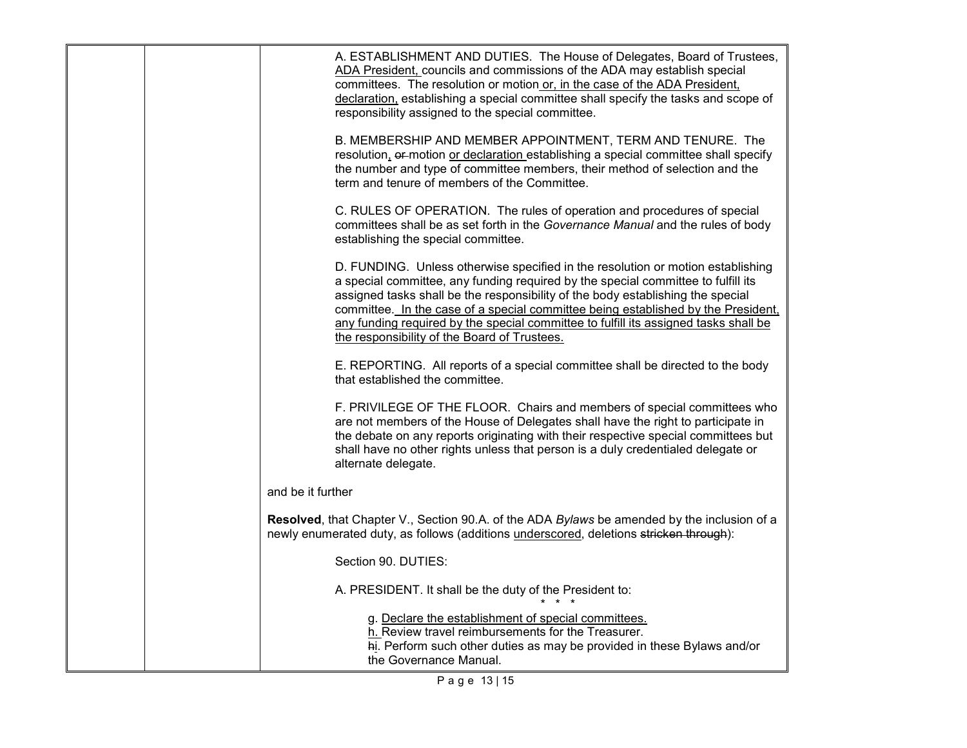| A. ESTABLISHMENT AND DUTIES. The House of Delegates, Board of Trustees,<br>ADA President, councils and commissions of the ADA may establish special<br>committees. The resolution or motion or, in the case of the ADA President,<br>declaration, establishing a special committee shall specify the tasks and scope of<br>responsibility assigned to the special committee.                                                                                                         |
|--------------------------------------------------------------------------------------------------------------------------------------------------------------------------------------------------------------------------------------------------------------------------------------------------------------------------------------------------------------------------------------------------------------------------------------------------------------------------------------|
| B. MEMBERSHIP AND MEMBER APPOINTMENT, TERM AND TENURE. The<br>resolution, er motion or declaration establishing a special committee shall specify<br>the number and type of committee members, their method of selection and the<br>term and tenure of members of the Committee.                                                                                                                                                                                                     |
| C. RULES OF OPERATION. The rules of operation and procedures of special<br>committees shall be as set forth in the Governance Manual and the rules of body<br>establishing the special committee.                                                                                                                                                                                                                                                                                    |
| D. FUNDING. Unless otherwise specified in the resolution or motion establishing<br>a special committee, any funding required by the special committee to fulfill its<br>assigned tasks shall be the responsibility of the body establishing the special<br>committee. In the case of a special committee being established by the President,<br>any funding required by the special committee to fulfill its assigned tasks shall be<br>the responsibility of the Board of Trustees. |
| E. REPORTING. All reports of a special committee shall be directed to the body<br>that established the committee.                                                                                                                                                                                                                                                                                                                                                                    |
| F. PRIVILEGE OF THE FLOOR. Chairs and members of special committees who<br>are not members of the House of Delegates shall have the right to participate in<br>the debate on any reports originating with their respective special committees but<br>shall have no other rights unless that person is a duly credentialed delegate or<br>alternate delegate.                                                                                                                         |
| and be it further                                                                                                                                                                                                                                                                                                                                                                                                                                                                    |
| <b>Resolved</b> , that Chapter V., Section 90.A. of the ADA Bylaws be amended by the inclusion of a<br>newly enumerated duty, as follows (additions underscored, deletions stricken through):                                                                                                                                                                                                                                                                                        |
| Section 90. DUTIES:                                                                                                                                                                                                                                                                                                                                                                                                                                                                  |
| A. PRESIDENT. It shall be the duty of the President to:                                                                                                                                                                                                                                                                                                                                                                                                                              |
| g. Declare the establishment of special committees.<br>h. Review travel reimbursements for the Treasurer.<br>hi. Perform such other duties as may be provided in these Bylaws and/or<br>the Governance Manual.                                                                                                                                                                                                                                                                       |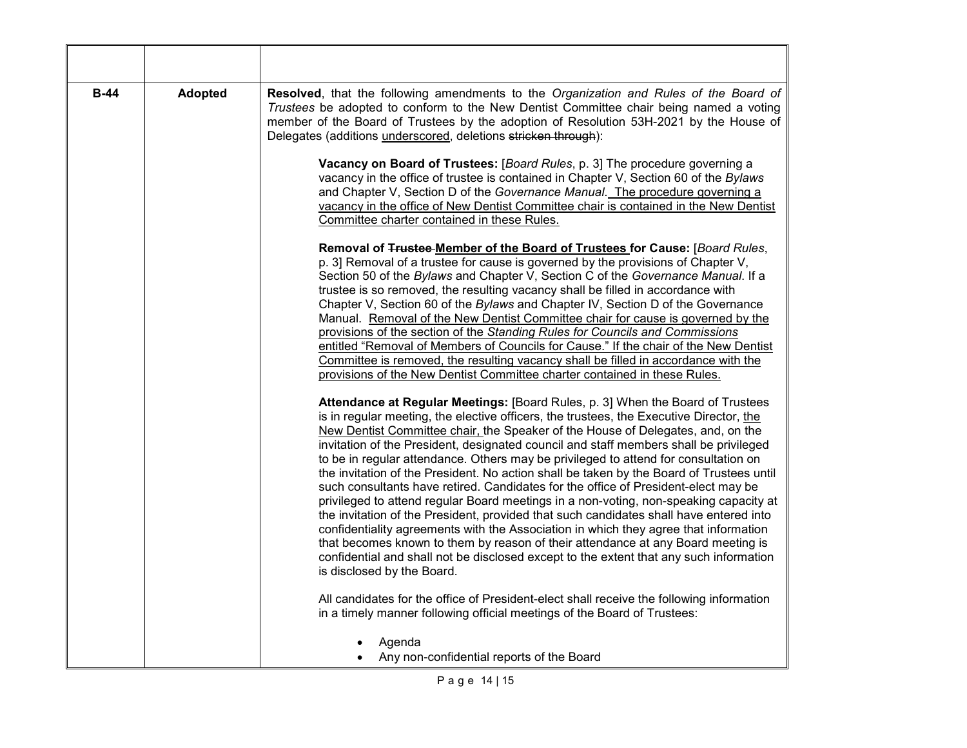| $B-44$ | <b>Adopted</b> | Resolved, that the following amendments to the Organization and Rules of the Board of<br>Trustees be adopted to conform to the New Dentist Committee chair being named a voting<br>member of the Board of Trustees by the adoption of Resolution 53H-2021 by the House of<br>Delegates (additions underscored, deletions stricken through):                                                                                                                                                                                                                                                                                                                                                                                                                                                                                                                                                                                                                                                                                                                                                                           |
|--------|----------------|-----------------------------------------------------------------------------------------------------------------------------------------------------------------------------------------------------------------------------------------------------------------------------------------------------------------------------------------------------------------------------------------------------------------------------------------------------------------------------------------------------------------------------------------------------------------------------------------------------------------------------------------------------------------------------------------------------------------------------------------------------------------------------------------------------------------------------------------------------------------------------------------------------------------------------------------------------------------------------------------------------------------------------------------------------------------------------------------------------------------------|
|        |                | Vacancy on Board of Trustees: [Board Rules, p. 3] The procedure governing a<br>vacancy in the office of trustee is contained in Chapter V, Section 60 of the Bylaws<br>and Chapter V, Section D of the Governance Manual. The procedure governing a<br>vacancy in the office of New Dentist Committee chair is contained in the New Dentist<br>Committee charter contained in these Rules.                                                                                                                                                                                                                                                                                                                                                                                                                                                                                                                                                                                                                                                                                                                            |
|        |                | Removal of Trustee-Member of the Board of Trustees for Cause: [Board Rules,<br>p. 3] Removal of a trustee for cause is governed by the provisions of Chapter V,<br>Section 50 of the Bylaws and Chapter V, Section C of the Governance Manual. If a<br>trustee is so removed, the resulting vacancy shall be filled in accordance with<br>Chapter V, Section 60 of the Bylaws and Chapter IV, Section D of the Governance<br>Manual. Removal of the New Dentist Committee chair for cause is governed by the<br>provisions of the section of the Standing Rules for Councils and Commissions<br>entitled "Removal of Members of Councils for Cause." If the chair of the New Dentist<br>Committee is removed, the resulting vacancy shall be filled in accordance with the<br>provisions of the New Dentist Committee charter contained in these Rules.                                                                                                                                                                                                                                                               |
|        |                | Attendance at Regular Meetings: [Board Rules, p. 3] When the Board of Trustees<br>is in regular meeting, the elective officers, the trustees, the Executive Director, the<br>New Dentist Committee chair, the Speaker of the House of Delegates, and, on the<br>invitation of the President, designated council and staff members shall be privileged<br>to be in regular attendance. Others may be privileged to attend for consultation on<br>the invitation of the President. No action shall be taken by the Board of Trustees until<br>such consultants have retired. Candidates for the office of President-elect may be<br>privileged to attend regular Board meetings in a non-voting, non-speaking capacity at<br>the invitation of the President, provided that such candidates shall have entered into<br>confidentiality agreements with the Association in which they agree that information<br>that becomes known to them by reason of their attendance at any Board meeting is<br>confidential and shall not be disclosed except to the extent that any such information<br>is disclosed by the Board. |
|        |                | All candidates for the office of President-elect shall receive the following information<br>in a timely manner following official meetings of the Board of Trustees:<br>Agenda<br>Any non-confidential reports of the Board                                                                                                                                                                                                                                                                                                                                                                                                                                                                                                                                                                                                                                                                                                                                                                                                                                                                                           |